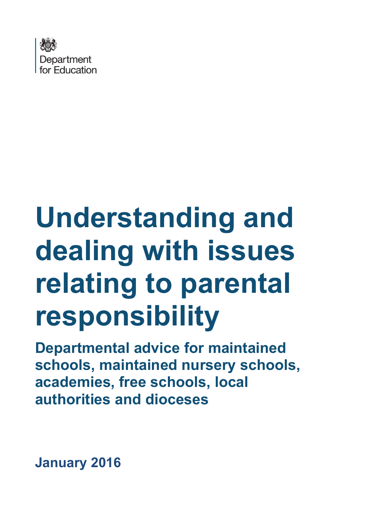

# **Understanding and dealing with issues relating to parental responsibility**

**Departmental advice for maintained schools, maintained nursery schools, academies, free schools, local authorities and dioceses**

<span id="page-0-0"></span>**January 2016**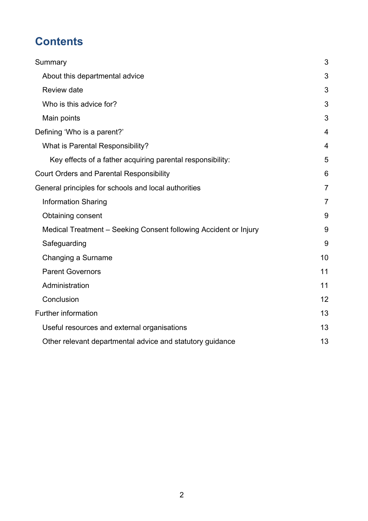# **Contents**

| Summary                                                          | 3              |
|------------------------------------------------------------------|----------------|
| About this departmental advice                                   | 3              |
| <b>Review date</b>                                               | 3              |
| Who is this advice for?                                          | 3              |
| Main points                                                      | 3              |
| Defining 'Who is a parent?'                                      | $\overline{4}$ |
| What is Parental Responsibility?                                 | 4              |
| Key effects of a father acquiring parental responsibility:       | 5              |
| <b>Court Orders and Parental Responsibility</b>                  | 6              |
| General principles for schools and local authorities             | $\overline{7}$ |
| <b>Information Sharing</b>                                       | $\overline{7}$ |
| Obtaining consent                                                | 9              |
| Medical Treatment - Seeking Consent following Accident or Injury | 9              |
| Safeguarding                                                     | 9              |
| Changing a Surname                                               | 10             |
| <b>Parent Governors</b>                                          | 11             |
| Administration                                                   | 11             |
| Conclusion                                                       | 12             |
| Further information                                              | 13             |
| Useful resources and external organisations                      | 13             |
| Other relevant departmental advice and statutory guidance        | 13             |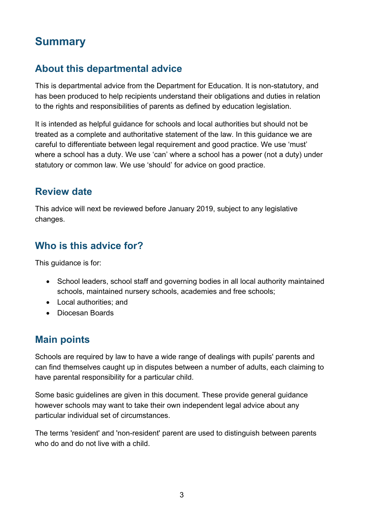# <span id="page-2-0"></span>**Summary**

#### <span id="page-2-1"></span>**About this departmental advice**

This is departmental advice from the Department for Education. It is non-statutory, and has been produced to help recipients understand their obligations and duties in relation to the rights and responsibilities of parents as defined by education legislation.

It is intended as helpful guidance for schools and local authorities but should not be treated as a complete and authoritative statement of the law. In this guidance we are careful to differentiate between legal requirement and good practice. We use 'must' where a school has a duty. We use 'can' where a school has a power (not a duty) under statutory or common law. We use 'should' for advice on good practice.

#### <span id="page-2-2"></span>**Review date**

This advice will next be reviewed before January 2019, subject to any legislative changes.

#### <span id="page-2-3"></span>**Who is this advice for?**

This guidance is for:

- School leaders, school staff and governing bodies in all local authority maintained schools, maintained nursery schools, academies and free schools;
- Local authorities; and
- Diocesan Boards

#### <span id="page-2-4"></span>**Main points**

Schools are required by law to have a wide range of dealings with pupils' parents and can find themselves caught up in disputes between a number of adults, each claiming to have parental responsibility for a particular child.

Some basic guidelines are given in this document. These provide general guidance however schools may want to take their own independent legal advice about any particular individual set of circumstances.

<span id="page-2-5"></span>The terms 'resident' and 'non-resident' parent are used to distinguish between parents who do and do not live with a child.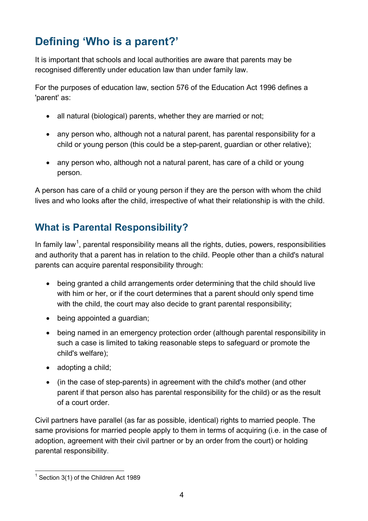# <span id="page-3-0"></span>**Defining 'Who is a parent?'**

It is important that schools and local authorities are aware that parents may be recognised differently under education law than under family law.

For the purposes of education law, section 576 of the Education Act 1996 defines a 'parent' as:

- all natural (biological) parents, whether they are married or not;
- any person who, although not a natural parent, has parental responsibility for a child or young person (this could be a step-parent, guardian or other relative);
- any person who, although not a natural parent, has care of a child or young person.

A person has care of a child or young person if they are the person with whom the child lives and who looks after the child, irrespective of what their relationship is with the child.

#### <span id="page-3-1"></span>**What is Parental Responsibility?**

In family law<sup>[1](#page-0-0)</sup>, parental responsibility means all the rights, duties, powers, responsibilities and authority that a parent has in relation to the child. People other than a child's natural parents can acquire parental responsibility through:

- being granted a child arrangements order determining that the child should live with him or her, or if the court determines that a parent should only spend time with the child, the court may also decide to grant parental responsibility;
- being appointed a guardian;
- being named in an emergency protection order (although parental responsibility in such a case is limited to taking reasonable steps to safeguard or promote the child's welfare);
- adopting a child;
- (in the case of step-parents) in agreement with the child's mother (and other parent if that person also has parental responsibility for the child) or as the result of a court order.

Civil partners have parallel (as far as possible, identical) rights to married people. The same provisions for married people apply to them in terms of acquiring (i.e. in the case of adoption, agreement with their civil partner or by an order from the court) or holding parental responsibility.

<span id="page-3-2"></span> $1$  Section 3(1) of the Children Act 1989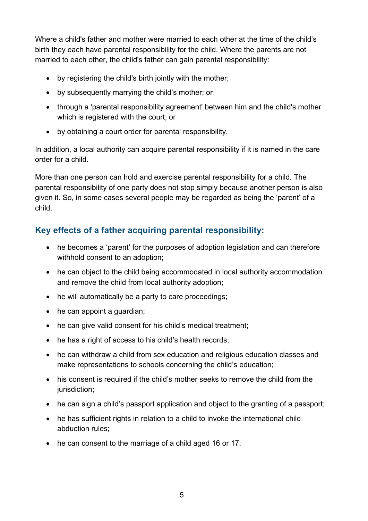Where a child's father and mother were married to each other at the time of the child's birth they each have parental responsibility for the child. Where the parents are not married to each other, the child's father can gain parental responsibility:

- by registering the child's birth jointly with the mother;
- by subsequently marrying the child's mother; or
- through a 'parental responsibility agreement' between him and the child's mother which is registered with the court; or
- by obtaining a court order for parental responsibility.

In addition, a local authority can acquire parental responsibility if it is named in the care order for a child.

More than one person can hold and exercise parental responsibility for a child. The parental responsibility of one party does not stop simply because another person is also given it. So, in some cases several people may be regarded as being the 'parent' of a child.

#### <span id="page-4-0"></span>**Key effects of a father acquiring parental responsibility:**

- he becomes a 'parent' for the purposes of adoption legislation and can therefore withhold consent to an adoption;
- he can object to the child being accommodated in local authority accommodation and remove the child from local authority adoption;
- he will automatically be a party to care proceedings;
- he can appoint a guardian;
- he can give valid consent for his child's medical treatment;
- he has a right of access to his child's health records;
- he can withdraw a child from sex education and religious education classes and make representations to schools concerning the child's education;
- his consent is required if the child's mother seeks to remove the child from the jurisdiction;
- he can sign a child's passport application and object to the granting of a passport:
- he has sufficient rights in relation to a child to invoke the international child abduction rules;
- he can consent to the marriage of a child aged 16 or 17.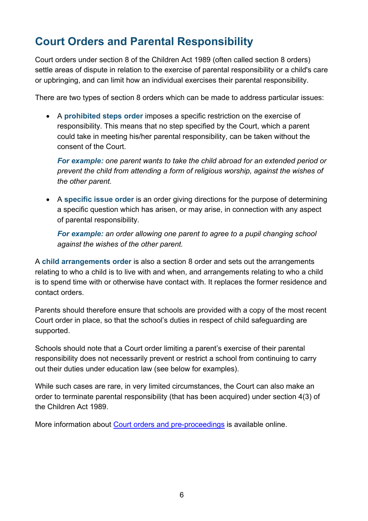# <span id="page-5-0"></span>**Court Orders and Parental Responsibility**

Court orders under section 8 of the Children Act 1989 (often called section 8 orders) settle areas of dispute in relation to the exercise of parental responsibility or a child's care or upbringing, and can limit how an individual exercises their parental responsibility.

There are two types of section 8 orders which can be made to address particular issues:

• A **prohibited steps order** imposes a specific restriction on the exercise of responsibility. This means that no step specified by the Court, which a parent could take in meeting his/her parental responsibility, can be taken without the consent of the Court.

*For example: one parent wants to take the child abroad for an extended period or prevent the child from attending a form of religious worship, against the wishes of the other parent.*

• A **specific issue order** is an order giving directions for the purpose of determining a specific question which has arisen, or may arise, in connection with any aspect of parental responsibility.

*For example: an order allowing one parent to agree to a pupil changing school against the wishes of the other parent.*

A **child arrangements order** is also a section 8 order and sets out the arrangements relating to who a child is to live with and when, and arrangements relating to who a child is to spend time with or otherwise have contact with. It replaces the former residence and contact orders.

Parents should therefore ensure that schools are provided with a copy of the most recent Court order in place, so that the school's duties in respect of child safeguarding are supported.

Schools should note that a Court order limiting a parent's exercise of their parental responsibility does not necessarily prevent or restrict a school from continuing to carry out their duties under education law (see below for examples).

While such cases are rare, in very limited circumstances, the Court can also make an order to terminate parental responsibility (that has been acquired) under section 4(3) of the Children Act 1989.

More information about [Court orders and pre-proceedings](https://www.gov.uk/government/publications/children-act-1989-court-orders--2) is available online.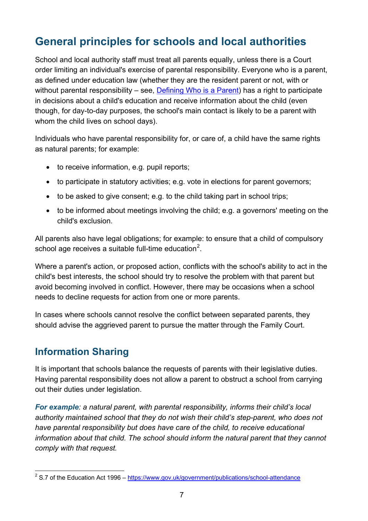# <span id="page-6-0"></span>**General principles for schools and local authorities**

School and local authority staff must treat all parents equally, unless there is a Court order limiting an individual's exercise of parental responsibility. Everyone who is a parent, as defined under education law (whether they are the resident parent or not, with or without parental responsibility – see, [Defining Who is a Parent\)](#page-2-5) has a right to participate in decisions about a child's education and receive information about the child (even though, for day-to-day purposes, the school's main contact is likely to be a parent with whom the child lives on school days).

Individuals who have parental responsibility for, or care of, a child have the same rights as natural parents; for example:

- to receive information, e.g. pupil reports;
- to participate in statutory activities; e.g. vote in elections for parent governors;
- to be asked to give consent; e.g. to the child taking part in school trips;
- to be informed about meetings involving the child; e.g. a governors' meeting on the child's exclusion.

All parents also have legal obligations; for example: to ensure that a child of compulsory school age receives a suitable full-time education<sup>[2](#page-3-2)</sup>.

Where a parent's action, or proposed action, conflicts with the school's ability to act in the child's best interests, the school should try to resolve the problem with that parent but avoid becoming involved in conflict. However, there may be occasions when a school needs to decline requests for action from one or more parents.

In cases where schools cannot resolve the conflict between separated parents, they should advise the aggrieved parent to pursue the matter through the Family Court.

#### <span id="page-6-1"></span>**Information Sharing**

It is important that schools balance the requests of parents with their legislative duties. Having parental responsibility does not allow a parent to obstruct a school from carrying out their duties under legislation.

*For example: a natural parent, with parental responsibility, informs their child's local authority maintained school that they do not wish their child's step-parent, who does not have parental responsibility but does have care of the child, to receive educational information about that child. The school should inform the natural parent that they cannot comply with that request.* 

<span id="page-6-2"></span> $2$  S.7 of the Education Act 1996 – <https://www.gov.uk/government/publications/school-attendance>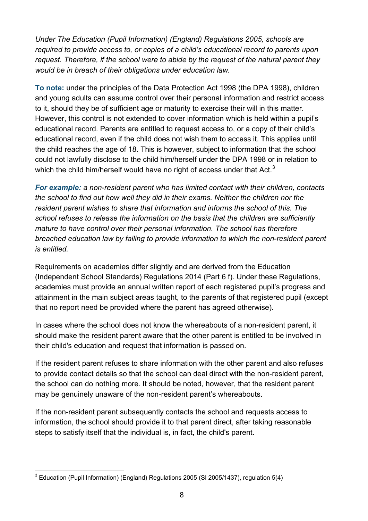*Under The Education (Pupil Information) (England) Regulations 2005, schools are required to provide access to, or copies of a child's educational record to parents upon request. Therefore, if the school were to abide by the request of the natural parent they would be in breach of their obligations under education law.* 

**To note:** under the principles of the Data Protection Act 1998 (the DPA 1998), children and young adults can assume control over their personal information and restrict access to it, should they be of sufficient age or maturity to exercise their will in this matter. However, this control is not extended to cover information which is held within a pupil's educational record. Parents are entitled to request access to, or a copy of their child's educational record, even if the child does not wish them to access it. This applies until the child reaches the age of 18. This is however, subject to information that the school could not lawfully disclose to the child him/herself under the DPA 1998 or in relation to which the child him/herself would have no right of access under that Act.<sup>[3](#page-6-2)</sup>

*For example: a non-resident parent who has limited contact with their children, contacts the school to find out how well they did in their exams. Neither the children nor the resident parent wishes to share that information and informs the school of this. The school refuses to release the information on the basis that the children are sufficiently mature to have control over their personal information. The school has therefore breached education law by failing to provide information to which the non-resident parent is entitled.* 

Requirements on academies differ slightly and are derived from the Education (Independent School Standards) Regulations 2014 (Part 6 f). Under these Regulations, academies must provide an annual written report of each registered pupil's progress and attainment in the main subject areas taught, to the parents of that registered pupil (except that no report need be provided where the parent has agreed otherwise).

In cases where the school does not know the whereabouts of a non-resident parent, it should make the resident parent aware that the other parent is entitled to be involved in their child's education and request that information is passed on.

If the resident parent refuses to share information with the other parent and also refuses to provide contact details so that the school can deal direct with the non-resident parent, the school can do nothing more. It should be noted, however, that the resident parent may be genuinely unaware of the non-resident parent's whereabouts.

If the non-resident parent subsequently contacts the school and requests access to information, the school should provide it to that parent direct, after taking reasonable steps to satisfy itself that the individual is, in fact, the child's parent.

<span id="page-7-0"></span> $3$  Education (Pupil Information) (England) Regulations 2005 (SI 2005/1437), regulation 5(4)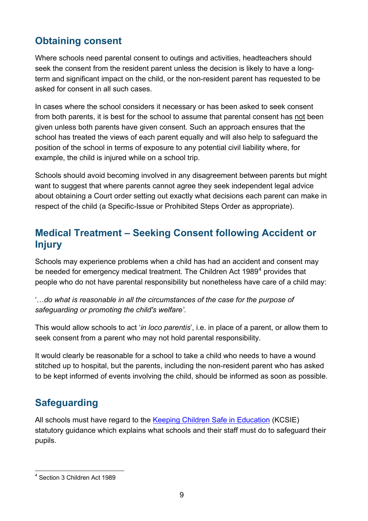#### <span id="page-8-0"></span>**Obtaining consent**

Where schools need parental consent to outings and activities, headteachers should seek the consent from the resident parent unless the decision is likely to have a longterm and significant impact on the child, or the non-resident parent has requested to be asked for consent in all such cases.

In cases where the school considers it necessary or has been asked to seek consent from both parents, it is best for the school to assume that parental consent has not been given unless both parents have given consent. Such an approach ensures that the school has treated the views of each parent equally and will also help to safeguard the position of the school in terms of exposure to any potential civil liability where, for example, the child is injured while on a school trip.

Schools should avoid becoming involved in any disagreement between parents but might want to suggest that where parents cannot agree they seek independent legal advice about obtaining a Court order setting out exactly what decisions each parent can make in respect of the child (a Specific-Issue or Prohibited Steps Order as appropriate).

#### <span id="page-8-1"></span>**Medical Treatment – Seeking Consent following Accident or Injury**

Schools may experience problems when a child has had an accident and consent may be needed for emergency medical treatment. The Children Act 1989<sup>[4](#page-7-0)</sup> provides that people who do not have parental responsibility but nonetheless have care of a child may:

'…*do what is reasonable in all the circumstances of the case for the purpose of safeguarding or promoting the child's welfare'*.

This would allow schools to act '*in loco parentis*', i.e. in place of a parent, or allow them to seek consent from a parent who may not hold parental responsibility.

It would clearly be reasonable for a school to take a child who needs to have a wound stitched up to hospital, but the parents, including the non-resident parent who has asked to be kept informed of events involving the child, should be informed as soon as possible.

## <span id="page-8-2"></span>**Safeguarding**

All schools must have regard to the [Keeping Children Safe in Education](https://www.gov.uk/government/publications/keeping-children-safe-in-education--2) (KCSIE) statutory guidance which explains what schools and their staff must do to safeguard their pupils.

<span id="page-8-3"></span> <sup>4</sup> Section 3 Children Act 1989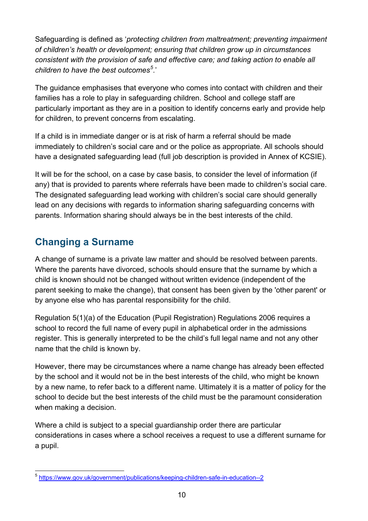Safeguarding is defined as '*protecting children from maltreatment; preventing impairment of children's health or development; ensuring that children grow up in circumstances consistent with the provision of safe and effective care; and taking action to enable all children to have the best outcomes[5](#page-8-3) .*'

The guidance emphasises that everyone who comes into contact with children and their families has a role to play in safeguarding children. School and college staff are particularly important as they are in a position to identify concerns early and provide help for children, to prevent concerns from escalating.

If a child is in immediate danger or is at risk of harm a referral should be made immediately to children's social care and or the police as appropriate. All schools should have a designated safeguarding lead (full job description is provided in Annex of KCSIE).

It will be for the school, on a case by case basis, to consider the level of information (if any) that is provided to parents where referrals have been made to children's social care. The designated safeguarding lead working with children's social care should generally lead on any decisions with regards to information sharing safeguarding concerns with parents. Information sharing should always be in the best interests of the child.

#### <span id="page-9-0"></span>**Changing a Surname**

A change of surname is a private law matter and should be resolved between parents. Where the parents have divorced, schools should ensure that the surname by which a child is known should not be changed without written evidence (independent of the parent seeking to make the change), that consent has been given by the 'other parent' or by anyone else who has parental responsibility for the child.

Regulation 5(1)(a) of the Education (Pupil Registration) Regulations 2006 requires a school to record the full name of every pupil in alphabetical order in the admissions register. This is generally interpreted to be the child's full legal name and not any other name that the child is known by.

However, there may be circumstances where a name change has already been effected by the school and it would not be in the best interests of the child, who might be known by a new name, to refer back to a different name. Ultimately it is a matter of policy for the school to decide but the best interests of the child must be the paramount consideration when making a decision.

Where a child is subject to a special guardianship order there are particular considerations in cases where a school receives a request to use a different surname for a pupil.

 <sup>5</sup> <https://www.gov.uk/government/publications/keeping-children-safe-in-education--2>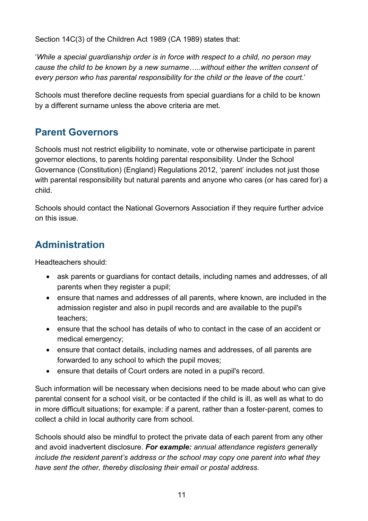Section 14C(3) of the Children Act 1989 (CA 1989) states that:

'*While a special guardianship order is in force with respect to a child, no person may cause the child to be known by a new surname…..without either the written consent of every person who has parental responsibility for the child or the leave of the court.*'

Schools must therefore decline requests from special guardians for a child to be known by a different surname unless the above criteria are met.

#### <span id="page-10-0"></span>**Parent Governors**

Schools must not restrict eligibility to nominate, vote or otherwise participate in parent governor elections, to parents holding parental responsibility. Under the School Governance (Constitution) (England) Regulations 2012, 'parent' includes not just those with parental responsibility but natural parents and anyone who cares (or has cared for) a child.

Schools should contact the National Governors Association if they require further advice on this issue.

## <span id="page-10-1"></span>**Administration**

Headteachers should:

- ask parents or guardians for contact details, including names and addresses, of all parents when they register a pupil;
- ensure that names and addresses of all parents, where known, are included in the admission register and also in pupil records and are available to the pupil's teachers;
- ensure that the school has details of who to contact in the case of an accident or medical emergency;
- ensure that contact details, including names and addresses, of all parents are forwarded to any school to which the pupil moves;
- ensure that details of Court orders are noted in a pupil's record.

Such information will be necessary when decisions need to be made about who can give parental consent for a school visit, or be contacted if the child is ill, as well as what to do in more difficult situations; for example: if a parent, rather than a foster-parent, comes to collect a child in local authority care from school.

Schools should also be mindful to protect the private data of each parent from any other and avoid inadvertent disclosure. *For example: annual attendance registers generally include the resident parent's address or the school may copy one parent into what they have sent the other, thereby disclosing their email or postal address*.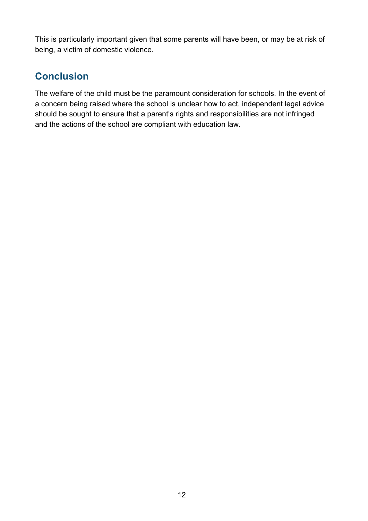This is particularly important given that some parents will have been, or may be at risk of being, a victim of domestic violence.

## <span id="page-11-0"></span>**Conclusion**

The welfare of the child must be the paramount consideration for schools. In the event of a concern being raised where the school is unclear how to act, independent legal advice should be sought to ensure that a parent's rights and responsibilities are not infringed and the actions of the school are compliant with education law.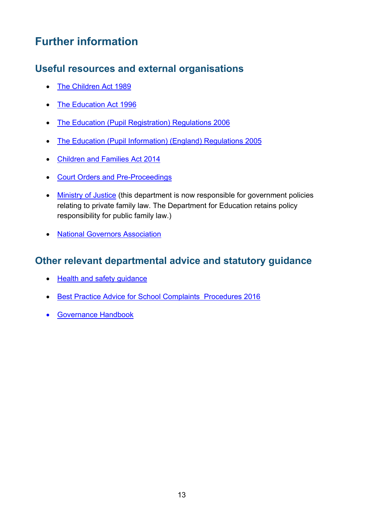# <span id="page-12-0"></span>**Further information**

#### <span id="page-12-1"></span>**Useful resources and external organisations**

- [The Children Act 1989](http://www.legislation.gov.uk/ukpga/1989/41/contents)
- [The Education Act 1996](http://www.legislation.gov.uk/ukpga/1996/56/contents)
- [The Education \(Pupil Registration\) Regulations 2006](http://www.legislation.gov.uk/uksi/2006/1751/contents/made)
- [The Education \(Pupil Information\) \(England\) Regulations 2005](http://www.legislation.gov.uk/uksi/2005/1437/contents/made)
- [Children and Families Act 2014](http://www.legislation.gov.uk/ukpga/2014/6/contents/enacted)
- [Court Orders and Pre-Proceedings](https://www.gov.uk/government/publications/children-act-1989-court-orders--2)
- [Ministry of Justice](http://www.justice.gov.uk/) (this department is now responsible for government policies relating to private family law. The Department for Education retains policy responsibility for public family law.)
- [National Governors Association](http://www.nga.org.uk/Can-we-help/Useful_Contacts/GovernorLine.aspx)

#### <span id="page-12-2"></span>**Other relevant departmental advice and statutory guidance**

- [Health and safety guidance](https://www.gov.uk/government/publications/health-and-safety-advice-for-schools)
- [Best Practice Advice for School Complaints Procedures 2016](https://www.gov.uk/government/publications/school-complaints-procedures)
- [Governance](https://www.gov.uk/government/publications/governance-handbook) Handbook